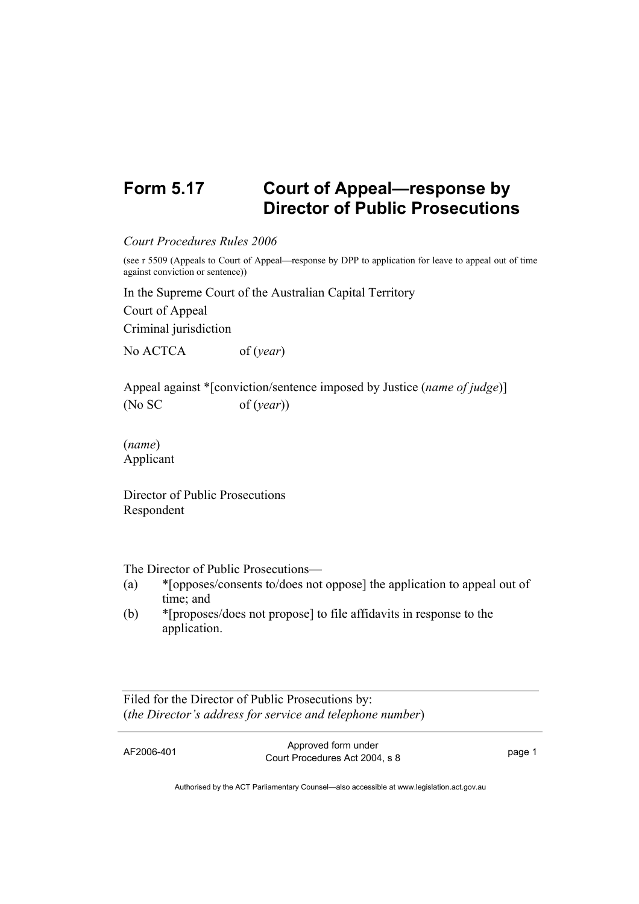## **Form 5.17 Court of Appeal—response by Director of Public Prosecutions**

## *Court Procedures Rules 2006*

(see r 5509 (Appeals to Court of Appeal—response by DPP to application for leave to appeal out of time against conviction or sentence))

In the Supreme Court of the Australian Capital Territory

Court of Appeal Criminal jurisdiction

No ACTCA of (*year*)

Appeal against \*[conviction/sentence imposed by Justice (*name of judge*)] (No SC of (*year*))

(*name*) Applicant

Director of Public Prosecutions Respondent

The Director of Public Prosecutions—

- (a) \*[opposes/consents to/does not oppose] the application to appeal out of time; and
- (b) \*[proposes/does not propose] to file affidavits in response to the application.

Filed for the Director of Public Prosecutions by: (*the Director's address for service and telephone number*)

AF2006-401 Approved form under Provide form and the set of the set of the page 1 page 1

Authorised by the ACT Parliamentary Counsel—also accessible at www.legislation.act.gov.au